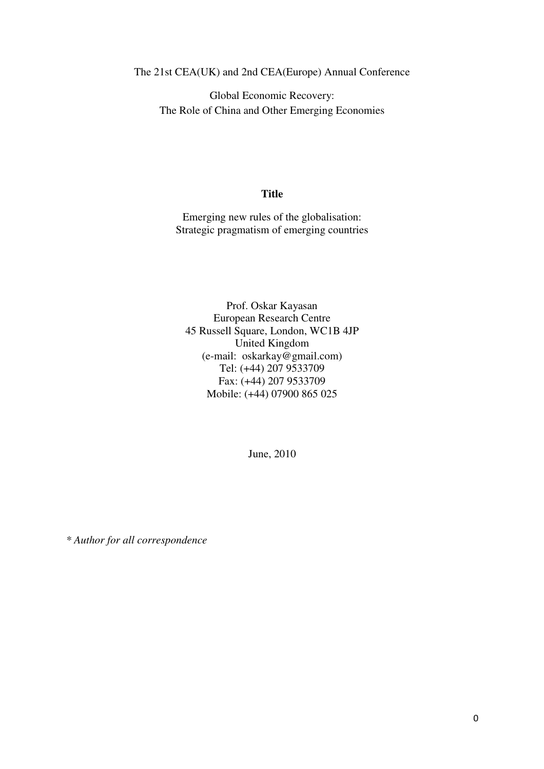The 21st CEA(UK) and 2nd CEA(Europe) Annual Conference

Global Economic Recovery: The Role of China and Other Emerging Economies

## **Title**

Emerging new rules of the globalisation: Strategic pragmatism of emerging countries

Prof. Oskar Kayasan European Research Centre 45 Russell Square, London, WC1B 4JP United Kingdom (e-mail: oskarkay@gmail.com) Tel: (+44) 207 9533709 Fax: (+44) 207 9533709 Mobile: (+44) 07900 865 025

June, 2010

*\* Author for all correspondence*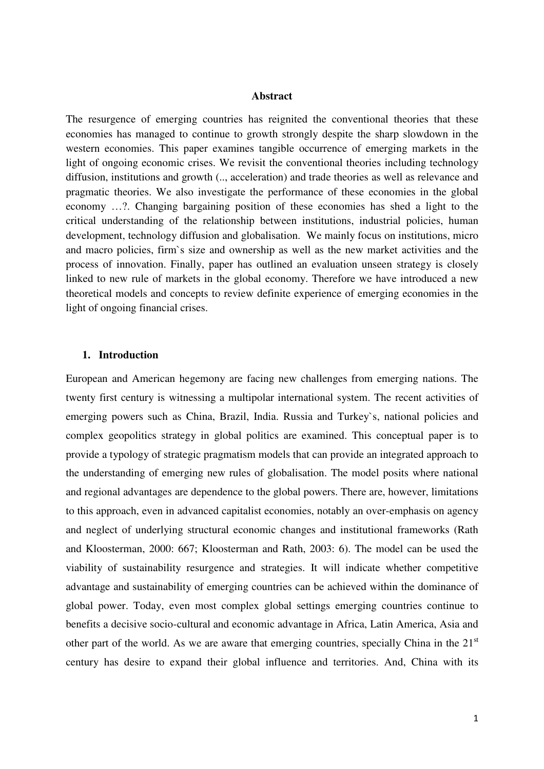#### **Abstract**

The resurgence of emerging countries has reignited the conventional theories that these economies has managed to continue to growth strongly despite the sharp slowdown in the western economies. This paper examines tangible occurrence of emerging markets in the light of ongoing economic crises. We revisit the conventional theories including technology diffusion, institutions and growth (.., acceleration) and trade theories as well as relevance and pragmatic theories. We also investigate the performance of these economies in the global economy …?. Changing bargaining position of these economies has shed a light to the critical understanding of the relationship between institutions, industrial policies, human development, technology diffusion and globalisation. We mainly focus on institutions, micro and macro policies, firm`s size and ownership as well as the new market activities and the process of innovation. Finally, paper has outlined an evaluation unseen strategy is closely linked to new rule of markets in the global economy. Therefore we have introduced a new theoretical models and concepts to review definite experience of emerging economies in the light of ongoing financial crises.

### **1. Introduction**

European and American hegemony are facing new challenges from emerging nations. The twenty first century is witnessing a multipolar international system. The recent activities of emerging powers such as China, Brazil, India. Russia and Turkey`s, national policies and complex geopolitics strategy in global politics are examined. This conceptual paper is to provide a typology of strategic pragmatism models that can provide an integrated approach to the understanding of emerging new rules of globalisation. The model posits where national and regional advantages are dependence to the global powers. There are, however, limitations to this approach, even in advanced capitalist economies, notably an over-emphasis on agency and neglect of underlying structural economic changes and institutional frameworks (Rath and Kloosterman, 2000: 667; Kloosterman and Rath, 2003: 6). The model can be used the viability of sustainability resurgence and strategies. It will indicate whether competitive advantage and sustainability of emerging countries can be achieved within the dominance of global power. Today, even most complex global settings emerging countries continue to benefits a decisive socio-cultural and economic advantage in Africa, Latin America, Asia and other part of the world. As we are aware that emerging countries, specially China in the  $21<sup>st</sup>$ century has desire to expand their global influence and territories. And, China with its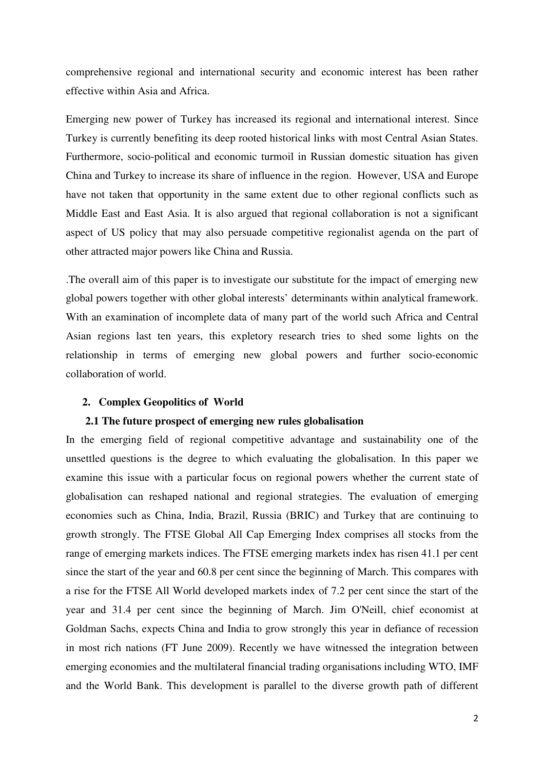comprehensive regional and international security and economic interest has been rather effective within Asia and Africa.

Emerging new power of Turkey has increased its regional and international interest. Since Turkey is currently benefiting its deep rooted historical links with most Central Asian States. Furthermore, socio-political and economic turmoil in Russian domestic situation has given China and Turkey to increase its share of influence in the region. However, USA and Europe have not taken that opportunity in the same extent due to other regional conflicts such as Middle East and East Asia. It is also argued that regional collaboration is not a significant aspect of US policy that may also persuade competitive regionalist agenda on the part of other attracted major powers like China and Russia.

.The overall aim of this paper is to investigate our substitute for the impact of emerging new global powers together with other global interests' determinants within analytical framework. With an examination of incomplete data of many part of the world such Africa and Central Asian regions last ten years, this expletory research tries to shed some lights on the relationship in terms of emerging new global powers and further socio-economic collaboration of world.

#### **2. Complex Geopolitics of World**

#### **2.1 The future prospect of emerging new rules globalisation**

In the emerging field of regional competitive advantage and sustainability one of the unsettled questions is the degree to which evaluating the globalisation. In this paper we examine this issue with a particular focus on regional powers whether the current state of globalisation can reshaped national and regional strategies. The evaluation of emerging economies such as China, India, Brazil, Russia (BRIC) and Turkey that are continuing to growth strongly. The FTSE Global All Cap Emerging Index comprises all stocks from the range of emerging markets indices. The FTSE emerging markets index has risen 41.1 per cent since the start of the year and 60.8 per cent since the beginning of March. This compares with a rise for the FTSE All World developed markets index of 7.2 per cent since the start of the year and 31.4 per cent since the beginning of March. Jim O'Neill, chief economist at Goldman Sachs, expects China and India to grow strongly this year in defiance of recession in most rich nations (FT June 2009). Recently we have witnessed the integration between emerging economies and the multilateral financial trading organisations including WTO, IMF and the World Bank. This development is parallel to the diverse growth path of different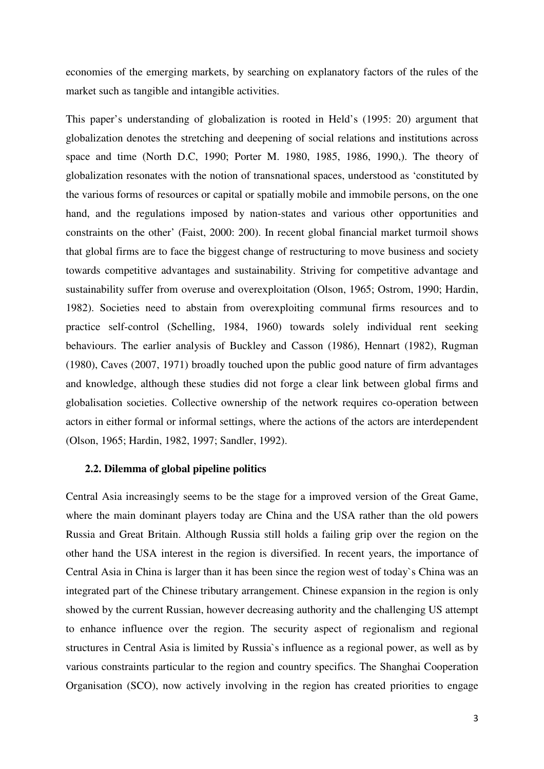economies of the emerging markets, by searching on explanatory factors of the rules of the market such as tangible and intangible activities.

This paper's understanding of globalization is rooted in Held's (1995: 20) argument that globalization denotes the stretching and deepening of social relations and institutions across space and time (North D.C, 1990; Porter M. 1980, 1985, 1986, 1990,). The theory of globalization resonates with the notion of transnational spaces, understood as 'constituted by the various forms of resources or capital or spatially mobile and immobile persons, on the one hand, and the regulations imposed by nation-states and various other opportunities and constraints on the other' (Faist, 2000: 200). In recent global financial market turmoil shows that global firms are to face the biggest change of restructuring to move business and society towards competitive advantages and sustainability. Striving for competitive advantage and sustainability suffer from overuse and overexploitation (Olson, 1965; Ostrom, 1990; Hardin, 1982). Societies need to abstain from overexploiting communal firms resources and to practice self-control (Schelling, 1984, 1960) towards solely individual rent seeking behaviours. The earlier analysis of Buckley and Casson (1986), Hennart (1982), Rugman (1980), Caves (2007, 1971) broadly touched upon the public good nature of firm advantages and knowledge, although these studies did not forge a clear link between global firms and globalisation societies. Collective ownership of the network requires co-operation between actors in either formal or informal settings, where the actions of the actors are interdependent (Olson, 1965; Hardin, 1982, 1997; Sandler, 1992).

### **2.2. Dilemma of global pipeline politics**

Central Asia increasingly seems to be the stage for a improved version of the Great Game, where the main dominant players today are China and the USA rather than the old powers Russia and Great Britain. Although Russia still holds a failing grip over the region on the other hand the USA interest in the region is diversified. In recent years, the importance of Central Asia in China is larger than it has been since the region west of today`s China was an integrated part of the Chinese tributary arrangement. Chinese expansion in the region is only showed by the current Russian, however decreasing authority and the challenging US attempt to enhance influence over the region. The security aspect of regionalism and regional structures in Central Asia is limited by Russia`s influence as a regional power, as well as by various constraints particular to the region and country specifics. The Shanghai Cooperation Organisation (SCO), now actively involving in the region has created priorities to engage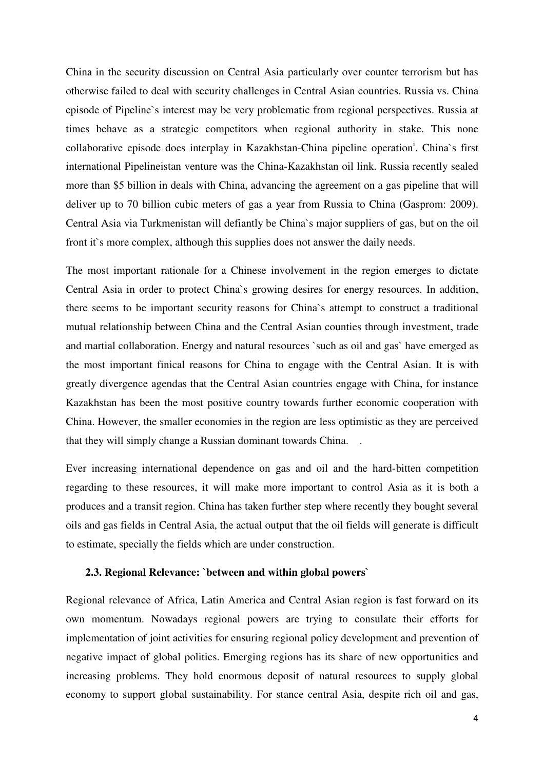China in the security discussion on Central Asia particularly over counter terrorism but has otherwise failed to deal with security challenges in Central Asian countries. Russia vs. China episode of Pipeline`s interest may be very problematic from regional perspectives. Russia at times behave as a strategic competitors when regional authority in stake. This none collaborative episode does interplay in Kazakhstan-China pipeline operation<sup>i</sup>. China`s first international Pipelineistan venture was the China-Kazakhstan oil link. Russia recently sealed more than \$5 billion in deals with China, advancing the agreement on a gas pipeline that will deliver up to 70 billion cubic meters of gas a year from Russia to China (Gasprom: 2009). Central Asia via Turkmenistan will defiantly be China`s major suppliers of gas, but on the oil front it`s more complex, although this supplies does not answer the daily needs.

The most important rationale for a Chinese involvement in the region emerges to dictate Central Asia in order to protect China`s growing desires for energy resources. In addition, there seems to be important security reasons for China`s attempt to construct a traditional mutual relationship between China and the Central Asian counties through investment, trade and martial collaboration. Energy and natural resources `such as oil and gas` have emerged as the most important finical reasons for China to engage with the Central Asian. It is with greatly divergence agendas that the Central Asian countries engage with China, for instance Kazakhstan has been the most positive country towards further economic cooperation with China. However, the smaller economies in the region are less optimistic as they are perceived that they will simply change a Russian dominant towards China. .

Ever increasing international dependence on gas and oil and the hard-bitten competition regarding to these resources, it will make more important to control Asia as it is both a produces and a transit region. China has taken further step where recently they bought several oils and gas fields in Central Asia, the actual output that the oil fields will generate is difficult to estimate, specially the fields which are under construction.

## **2.3. Regional Relevance: `between and within global powers`**

Regional relevance of Africa, Latin America and Central Asian region is fast forward on its own momentum. Nowadays regional powers are trying to consulate their efforts for implementation of joint activities for ensuring regional policy development and prevention of negative impact of global politics. Emerging regions has its share of new opportunities and increasing problems. They hold enormous deposit of natural resources to supply global economy to support global sustainability. For stance central Asia, despite rich oil and gas,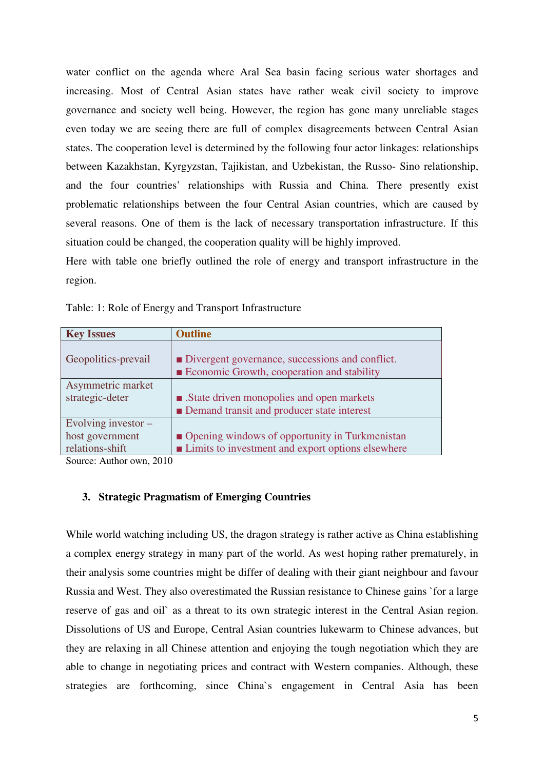water conflict on the agenda where Aral Sea basin facing serious water shortages and increasing. Most of Central Asian states have rather weak civil society to improve governance and society well being. However, the region has gone many unreliable stages even today we are seeing there are full of complex disagreements between Central Asian states. The cooperation level is determined by the following four actor linkages: relationships between Kazakhstan, Kyrgyzstan, Tajikistan, and Uzbekistan, the Russo- Sino relationship, and the four countries' relationships with Russia and China. There presently exist problematic relationships between the four Central Asian countries, which are caused by several reasons. One of them is the lack of necessary transportation infrastructure. If this situation could be changed, the cooperation quality will be highly improved.

Here with table one briefly outlined the role of energy and transport infrastructure in the region.

|  | Table: 1: Role of Energy and Transport Infrastructure |
|--|-------------------------------------------------------|
|--|-------------------------------------------------------|

| <b>Key Issues</b>     | <b>Outline</b>                                              |
|-----------------------|-------------------------------------------------------------|
| Geopolitics-prevail   | ■ Divergent governance, successions and conflict.           |
|                       | <b>Expansion</b> Economic Growth, cooperation and stability |
| Asymmetric market     |                                                             |
| strategic-deter       | ■ .State driven monopolies and open markets                 |
|                       | Demand transit and producer state interest                  |
| Evolving investor $-$ |                                                             |
| host government       | • Opening windows of opportunity in Turkmenistan            |
| relations-shift       | ■ Limits to investment and export options elsewhere         |

Source: Author own, 2010

### **3. Strategic Pragmatism of Emerging Countries**

While world watching including US, the dragon strategy is rather active as China establishing a complex energy strategy in many part of the world. As west hoping rather prematurely, in their analysis some countries might be differ of dealing with their giant neighbour and favour Russia and West. They also overestimated the Russian resistance to Chinese gains `for a large reserve of gas and oil` as a threat to its own strategic interest in the Central Asian region. Dissolutions of US and Europe, Central Asian countries lukewarm to Chinese advances, but they are relaxing in all Chinese attention and enjoying the tough negotiation which they are able to change in negotiating prices and contract with Western companies. Although, these strategies are forthcoming, since China`s engagement in Central Asia has been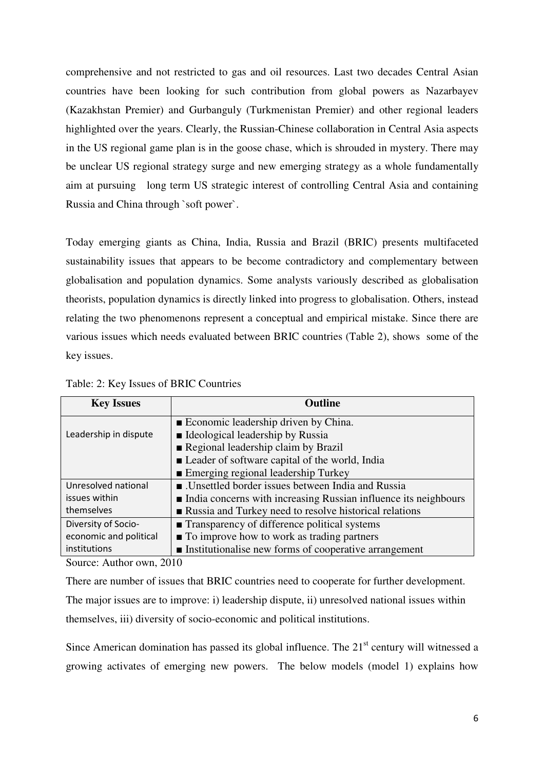comprehensive and not restricted to gas and oil resources. Last two decades Central Asian countries have been looking for such contribution from global powers as Nazarbayev (Kazakhstan Premier) and Gurbanguly (Turkmenistan Premier) and other regional leaders highlighted over the years. Clearly, the Russian-Chinese collaboration in Central Asia aspects in the US regional game plan is in the goose chase, which is shrouded in mystery. There may be unclear US regional strategy surge and new emerging strategy as a whole fundamentally aim at pursuing long term US strategic interest of controlling Central Asia and containing Russia and China through `soft power`.

Today emerging giants as China, India, Russia and Brazil (BRIC) presents multifaceted sustainability issues that appears to be become contradictory and complementary between globalisation and population dynamics. Some analysts variously described as globalisation theorists, population dynamics is directly linked into progress to globalisation. Others, instead relating the two phenomenons represent a conceptual and empirical mistake. Since there are various issues which needs evaluated between BRIC countries (Table 2), shows some of the key issues.

| <b>Key Issues</b>      | <b>Outline</b>                                                  |
|------------------------|-----------------------------------------------------------------|
|                        | ■ Economic leadership driven by China.                          |
| Leadership in dispute  | ■ Ideological leadership by Russia                              |
|                        | Regional leadership claim by Brazil                             |
|                        | ■ Leader of software capital of the world, India                |
|                        | ■ Emerging regional leadership Turkey                           |
| Unresolved national    | ■ Unsettled border issues between India and Russia              |
| issues within          | India concerns with increasing Russian influence its neighbours |
| themselves             | ■ Russia and Turkey need to resolve historical relations        |
| Diversity of Socio-    | ■ Transparency of difference political systems                  |
| economic and political | $\blacksquare$ To improve how to work as trading partners       |
| institutions           | Institutionalise new forms of cooperative arrangement           |

Table: 2: Key Issues of BRIC Countries

Source: Author own, 2010

There are number of issues that BRIC countries need to cooperate for further development.

The major issues are to improve: i) leadership dispute, ii) unresolved national issues within themselves, iii) diversity of socio-economic and political institutions.

Since American domination has passed its global influence. The  $21<sup>st</sup>$  century will witnessed a growing activates of emerging new powers. The below models (model 1) explains how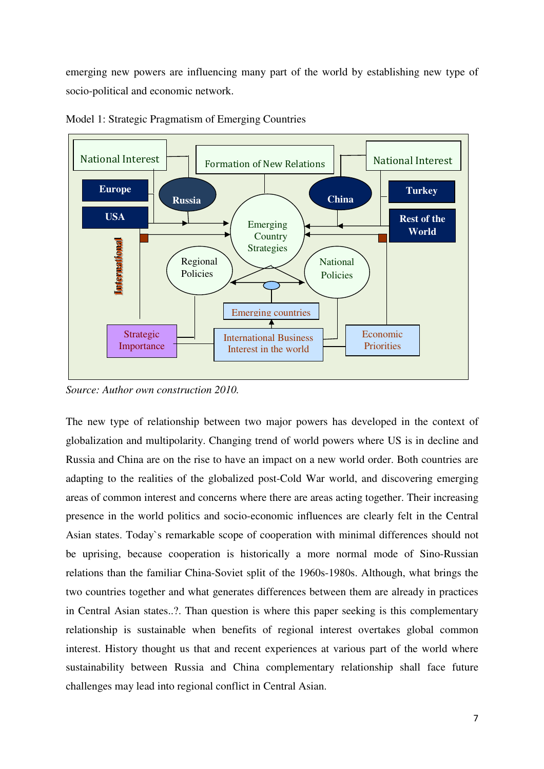emerging new powers are influencing many part of the world by establishing new type of socio-political and economic network.



Model 1: Strategic Pragmatism of Emerging Countries

*Source: Author own construction 2010.*

The new type of relationship between two major powers has developed in the context of globalization and multipolarity. Changing trend of world powers where US is in decline and Russia and China are on the rise to have an impact on a new world order. Both countries are adapting to the realities of the globalized post-Cold War world, and discovering emerging areas of common interest and concerns where there are areas acting together. Their increasing presence in the world politics and socio-economic influences are clearly felt in the Central Asian states. Today`s remarkable scope of cooperation with minimal differences should not be uprising, because cooperation is historically a more normal mode of Sino-Russian relations than the familiar China-Soviet split of the 1960s-1980s. Although, what brings the two countries together and what generates differences between them are already in practices in Central Asian states..?. Than question is where this paper seeking is this complementary relationship is sustainable when benefits of regional interest overtakes global common interest. History thought us that and recent experiences at various part of the world where sustainability between Russia and China complementary relationship shall face future challenges may lead into regional conflict in Central Asian.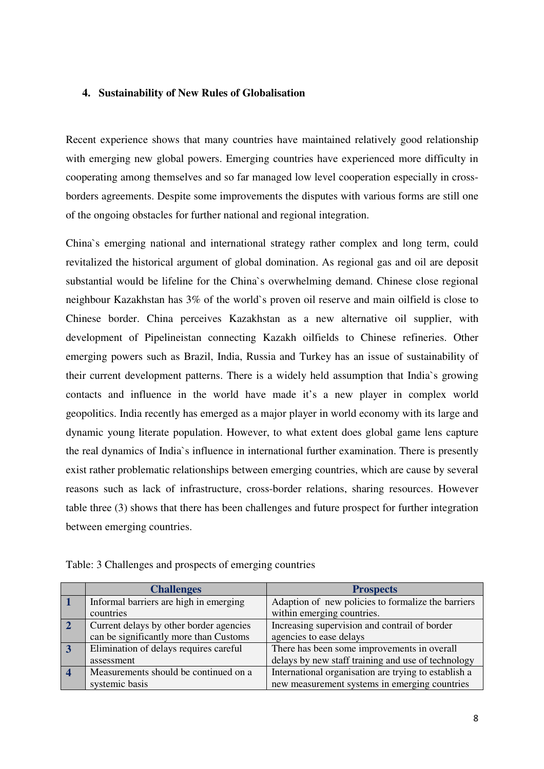### **4. Sustainability of New Rules of Globalisation**

Recent experience shows that many countries have maintained relatively good relationship with emerging new global powers. Emerging countries have experienced more difficulty in cooperating among themselves and so far managed low level cooperation especially in crossborders agreements. Despite some improvements the disputes with various forms are still one of the ongoing obstacles for further national and regional integration.

China`s emerging national and international strategy rather complex and long term, could revitalized the historical argument of global domination. As regional gas and oil are deposit substantial would be lifeline for the China`s overwhelming demand. Chinese close regional neighbour Kazakhstan has 3% of the world`s proven oil reserve and main oilfield is close to Chinese border. China perceives Kazakhstan as a new alternative oil supplier, with development of Pipelineistan connecting Kazakh oilfields to Chinese refineries. Other emerging powers such as Brazil, India, Russia and Turkey has an issue of sustainability of their current development patterns. There is a widely held assumption that India`s growing contacts and influence in the world have made it's a new player in complex world geopolitics. India recently has emerged as a major player in world economy with its large and dynamic young literate population. However, to what extent does global game lens capture the real dynamics of India`s influence in international further examination. There is presently exist rather problematic relationships between emerging countries, which are cause by several reasons such as lack of infrastructure, cross-border relations, sharing resources. However table three (3) shows that there has been challenges and future prospect for further integration between emerging countries.

|                         | <b>Challenges</b>                       | <b>Prospects</b>                                     |
|-------------------------|-----------------------------------------|------------------------------------------------------|
|                         | Informal barriers are high in emerging  | Adaption of new policies to formalize the barriers   |
|                         | countries                               | within emerging countries.                           |
| $\overline{2}$          | Current delays by other border agencies | Increasing supervision and contrail of border        |
|                         | can be significantly more than Customs  | agencies to ease delays                              |
| $\overline{3}$          | Elimination of delays requires careful  | There has been some improvements in overall          |
|                         | assessment                              | delays by new staff training and use of technology   |
| $\overline{\mathbf{4}}$ | Measurements should be continued on a   | International organisation are trying to establish a |
|                         | systemic basis                          | new measurement systems in emerging countries        |

Table: 3 Challenges and prospects of emerging countries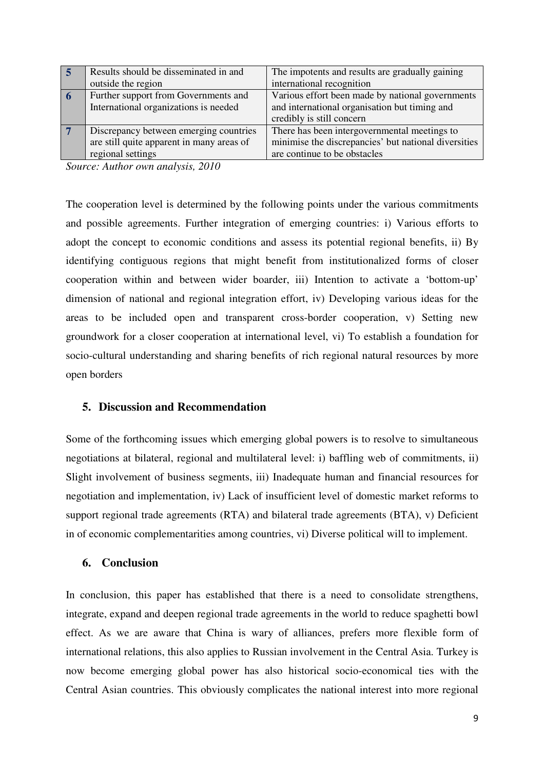|    | Results should be disseminated in and     | The impotents and results are gradually gaining      |
|----|-------------------------------------------|------------------------------------------------------|
|    | outside the region                        | international recognition                            |
| -6 | Further support from Governments and      | Various effort been made by national governments     |
|    | International organizations is needed     | and international organisation but timing and        |
|    |                                           | credibly is still concern                            |
|    | Discrepancy between emerging countries    | There has been intergovernmental meetings to         |
|    | are still quite apparent in many areas of | minimise the discrepancies' but national diversities |
|    | regional settings                         | are continue to be obstacles                         |

*Source: Author own analysis, 2010* 

The cooperation level is determined by the following points under the various commitments and possible agreements. Further integration of emerging countries: i) Various efforts to adopt the concept to economic conditions and assess its potential regional benefits, ii) By identifying contiguous regions that might benefit from institutionalized forms of closer cooperation within and between wider boarder, iii) Intention to activate a 'bottom-up' dimension of national and regional integration effort, iv) Developing various ideas for the areas to be included open and transparent cross-border cooperation, v) Setting new groundwork for a closer cooperation at international level, vi) To establish a foundation for socio-cultural understanding and sharing benefits of rich regional natural resources by more open borders

# **5. Discussion and Recommendation**

Some of the forthcoming issues which emerging global powers is to resolve to simultaneous negotiations at bilateral, regional and multilateral level: i) baffling web of commitments, ii) Slight involvement of business segments, iii) Inadequate human and financial resources for negotiation and implementation, iv) Lack of insufficient level of domestic market reforms to support regional trade agreements (RTA) and bilateral trade agreements (BTA), v) Deficient in of economic complementarities among countries, vi) Diverse political will to implement.

### **6. Conclusion**

In conclusion, this paper has established that there is a need to consolidate strengthens, integrate, expand and deepen regional trade agreements in the world to reduce spaghetti bowl effect. As we are aware that China is wary of alliances, prefers more flexible form of international relations, this also applies to Russian involvement in the Central Asia. Turkey is now become emerging global power has also historical socio-economical ties with the Central Asian countries. This obviously complicates the national interest into more regional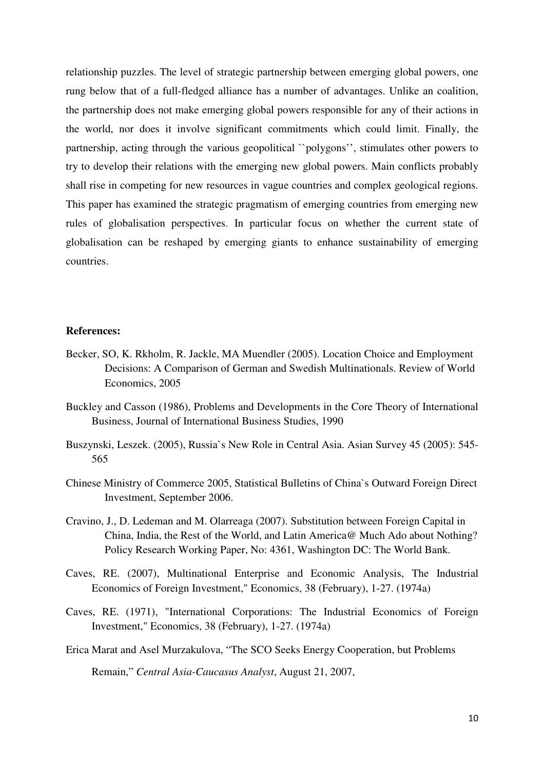relationship puzzles. The level of strategic partnership between emerging global powers, one rung below that of a full-fledged alliance has a number of advantages. Unlike an coalition, the partnership does not make emerging global powers responsible for any of their actions in the world, nor does it involve significant commitments which could limit. Finally, the partnership, acting through the various geopolitical "polygons", stimulates other powers to try to develop their relations with the emerging new global powers. Main conflicts probably shall rise in competing for new resources in vague countries and complex geological regions. This paper has examined the strategic pragmatism of emerging countries from emerging new rules of globalisation perspectives. In particular focus on whether the current state of globalisation can be reshaped by emerging giants to enhance sustainability of emerging countries.

#### **References:**

- Becker, SO, K. Rkholm, R. Jackle, MA Muendler (2005). Location Choice and Employment Decisions: A Comparison of German and Swedish Multinationals. Review of World Economics, 2005
- Buckley and Casson (1986), Problems and Developments in the Core Theory of International Business, Journal of International Business Studies, 1990
- Buszynski, Leszek. (2005), Russia`s New Role in Central Asia. Asian Survey 45 (2005): 545- 565
- Chinese Ministry of Commerce 2005, Statistical Bulletins of China`s Outward Foreign Direct Investment, September 2006.
- Cravino, J., D. Ledeman and M. Olarreaga (2007). Substitution between Foreign Capital in China, India, the Rest of the World, and Latin America@ Much Ado about Nothing? Policy Research Working Paper, No: 4361, Washington DC: The World Bank.
- Caves, RE. (2007), Multinational Enterprise and Economic Analysis, The Industrial Economics of Foreign Investment," Economics, 38 (February), 1-27. (1974a)
- Caves, RE. (1971), "International Corporations: The Industrial Economics of Foreign Investment," Economics, 38 (February), 1-27. (1974a)
- Erica Marat and Asel Murzakulova, "The SCO Seeks Energy Cooperation, but Problems Remain," *Central Asia-Caucasus Analyst*, August 21, 2007,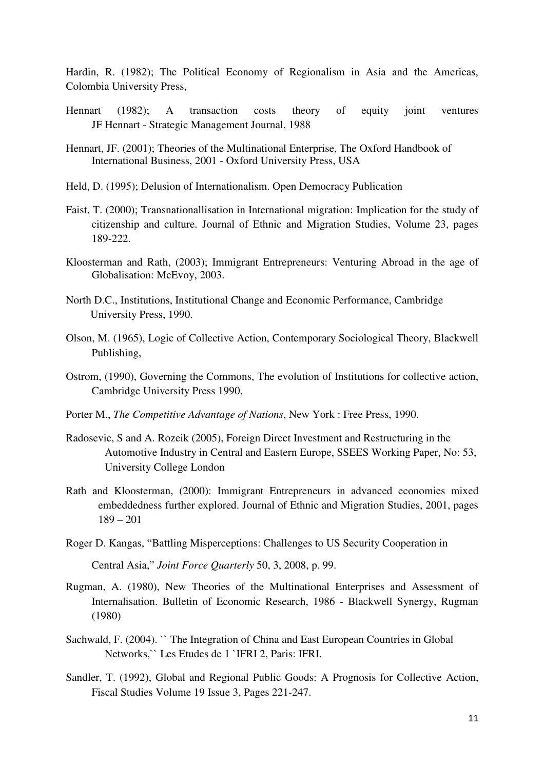Hardin, R. (1982); The Political Economy of Regionalism in Asia and the Americas, Colombia University Press,

- Hennart (1982); A transaction costs theory of equity joint ventures JF Hennart - Strategic Management Journal, 1988
- Hennart, JF. (2001); Theories of the Multinational Enterprise, The Oxford Handbook of International Business, 2001 - Oxford University Press, USA
- Held, D. (1995); Delusion of Internationalism. Open Democracy Publication
- Faist, T. (2000); Transnationallisation in International migration: Implication for the study of citizenship and culture. Journal of Ethnic and Migration Studies, Volume 23, pages 189-222.
- Kloosterman and Rath, (2003); Immigrant Entrepreneurs: Venturing Abroad in the age of Globalisation: McEvoy, 2003.
- North D.C., Institutions, Institutional Change and Economic Performance, Cambridge University Press, 1990.
- Olson, M. (1965), Logic of Collective Action, Contemporary Sociological Theory, Blackwell Publishing,
- Ostrom, (1990), Governing the Commons, The evolution of Institutions for collective action, Cambridge University Press 1990,
- Porter M., *The Competitive Advantage of Nations*, New York : Free Press, 1990.
- Radosevic, S and A. Rozeik (2005), Foreign Direct Investment and Restructuring in the Automotive Industry in Central and Eastern Europe, SSEES Working Paper, No: 53, University College London
- Rath and Kloosterman, (2000): Immigrant Entrepreneurs in advanced economies mixed embeddedness further explored. Journal of Ethnic and Migration Studies, 2001, pages 189 – 201
- Roger D. Kangas, "Battling Misperceptions: Challenges to US Security Cooperation in Central Asia," *Joint Force Quarterly* 50, 3, 2008, p. 99.
- Rugman, A. (1980), New Theories of the Multinational Enterprises and Assessment of Internalisation. Bulletin of Economic Research, 1986 - Blackwell Synergy, Rugman (1980)
- Sachwald, F. (2004). `` The Integration of China and East European Countries in Global Networks,`` Les Etudes de 1 `IFRI 2, Paris: IFRI.
- Sandler, T. (1992), Global and Regional Public Goods: A Prognosis for Collective Action, Fiscal Studies Volume 19 Issue 3, Pages 221-247.